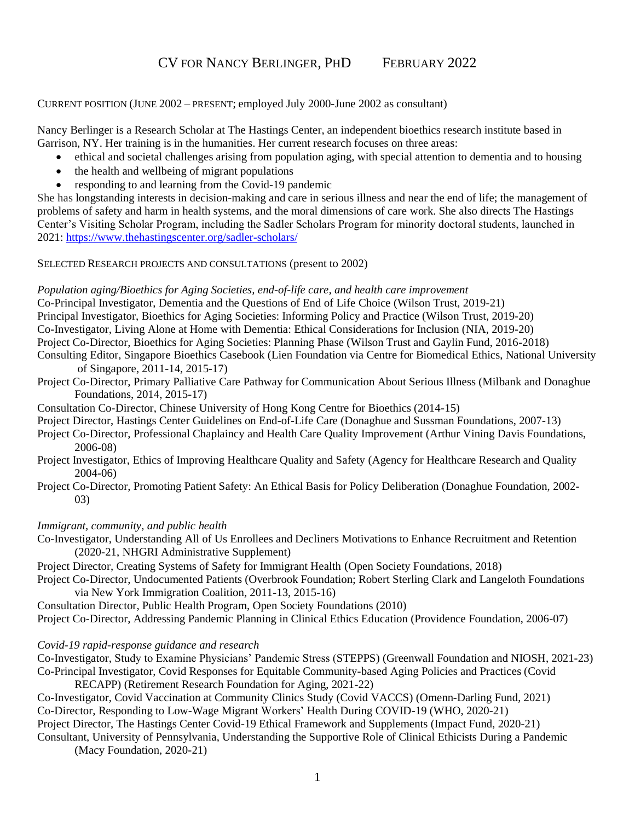# CV FOR NANCY BERLINGER, PHD FEBRUARY 2022

CURRENT POSITION (JUNE 2002 – PRESENT; employed July 2000-June 2002 as consultant)

Nancy Berlinger is a Research Scholar at The Hastings Center, an independent bioethics research institute based in Garrison, NY. Her training is in the humanities. Her current research focuses on three areas:

- ethical and societal challenges arising from population aging, with special attention to dementia and to housing
- the health and wellbeing of migrant populations
- responding to and learning from the Covid-19 pandemic

She has longstanding interests in decision-making and care in serious illness and near the end of life; the management of problems of safety and harm in health systems, and the moral dimensions of care work. She also directs The Hastings Center's Visiting Scholar Program, including the Sadler Scholars Program for minority doctoral students, launched in 2021:<https://www.thehastingscenter.org/sadler-scholars/>

### SELECTED RESEARCH PROJECTS AND CONSULTATIONS (present to 2002)

### *Population aging/Bioethics for Aging Societies, end-of-life care, and health care improvement*

Co-Principal Investigator, Dementia and the Questions of End of Life Choice (Wilson Trust, 2019-21)

Principal Investigator, Bioethics for Aging Societies: Informing Policy and Practice (Wilson Trust, 2019-20)

Co-Investigator, Living Alone at Home with Dementia: Ethical Considerations for Inclusion (NIA, 2019-20)

Project Co-Director, Bioethics for Aging Societies: Planning Phase (Wilson Trust and Gaylin Fund, 2016-2018)

- Consulting Editor, Singapore Bioethics Casebook (Lien Foundation via Centre for Biomedical Ethics, National University of Singapore, 2011-14, 2015-17)
- Project Co-Director, Primary Palliative Care Pathway for Communication About Serious Illness (Milbank and Donaghue Foundations, 2014, 2015-17)

Consultation Co-Director, Chinese University of Hong Kong Centre for Bioethics (2014-15)

Project Director, Hastings Center Guidelines on End-of-Life Care (Donaghue and Sussman Foundations, 2007-13)

- Project Co-Director, Professional Chaplaincy and Health Care Quality Improvement (Arthur Vining Davis Foundations, 2006-08)
- Project Investigator, Ethics of Improving Healthcare Quality and Safety (Agency for Healthcare Research and Quality 2004-06)
- Project Co-Director, Promoting Patient Safety: An Ethical Basis for Policy Deliberation (Donaghue Foundation, 2002- 03)

## *Immigrant, community, and public health*

Co-Investigator, Understanding All of Us Enrollees and Decliners Motivations to Enhance Recruitment and Retention (2020-21, NHGRI Administrative Supplement)

Project Director, Creating Systems of Safety for Immigrant Health (Open Society Foundations, 2018)

Project Co-Director, Undocumented Patients (Overbrook Foundation; Robert Sterling Clark and Langeloth Foundations via New York Immigration Coalition, 2011-13, 2015-16)

Consultation Director, Public Health Program, Open Society Foundations (2010) Project Co-Director, Addressing Pandemic Planning in Clinical Ethics Education (Providence Foundation, 2006-07)

### *Covid-19 rapid-response guidance and research*

Co-Investigator, Study to Examine Physicians' Pandemic Stress (STEPPS) (Greenwall Foundation and NIOSH, 2021-23) Co-Principal Investigator, Covid Responses for Equitable Community-based Aging Policies and Practices (Covid

RECAPP) (Retirement Research Foundation for Aging, 2021-22)

Co-Investigator, Covid Vaccination at Community Clinics Study (Covid VACCS) (Omenn-Darling Fund, 2021) Co-Director, Responding to Low-Wage Migrant Workers' Health During COVID-19 (WHO, 2020-21)

Project Director, The Hastings Center Covid-19 Ethical Framework and Supplements (Impact Fund, 2020-21)

Consultant, University of Pennsylvania, Understanding the Supportive Role of Clinical Ethicists During a Pandemic (Macy Foundation, 2020-21)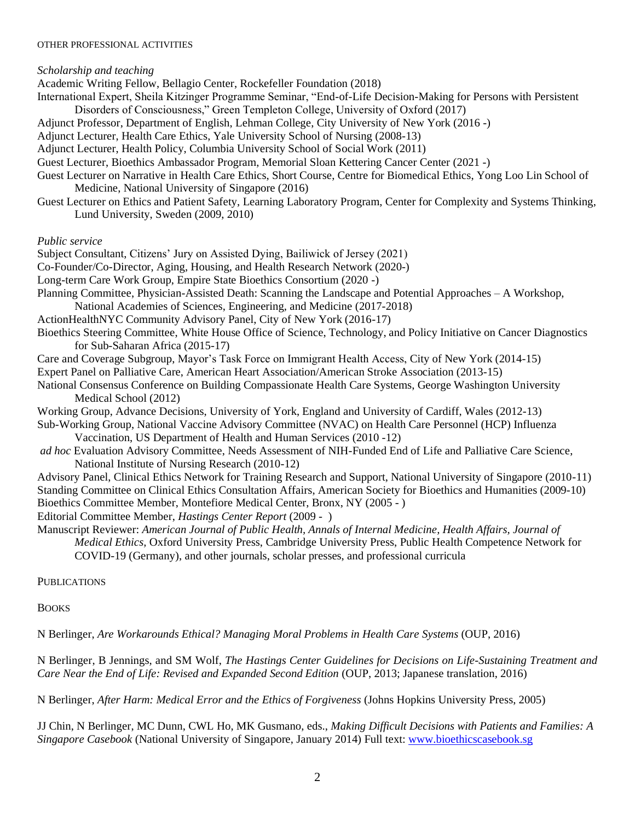#### OTHER PROFESSIONAL ACTIVITIES

*Scholarship and teaching*  Academic Writing Fellow, Bellagio Center, Rockefeller Foundation (2018) International Expert, Sheila Kitzinger Programme Seminar, "End-of-Life Decision-Making for Persons with Persistent Disorders of Consciousness," Green Templeton College, University of Oxford (2017) Adjunct Professor, Department of English, Lehman College, City University of New York (2016 -) Adjunct Lecturer, Health Care Ethics, Yale University School of Nursing (2008-13) Adjunct Lecturer, Health Policy, Columbia University School of Social Work (2011) Guest Lecturer, Bioethics Ambassador Program, Memorial Sloan Kettering Cancer Center (2021 -) Guest Lecturer on Narrative in Health Care Ethics, Short Course, Centre for Biomedical Ethics, Yong Loo Lin School of Medicine, National University of Singapore (2016) Guest Lecturer on Ethics and Patient Safety, Learning Laboratory Program, Center for Complexity and Systems Thinking, Lund University, Sweden (2009, 2010) *Public service* Subject Consultant, Citizens' Jury on Assisted Dying, Bailiwick of Jersey (2021) Co-Founder/Co-Director, Aging, Housing, and Health Research Network (2020-) Long-term Care Work Group, Empire State Bioethics Consortium (2020 -) Planning Committee, Physician-Assisted Death: Scanning the Landscape and Potential Approaches – A Workshop, National Academies of Sciences, Engineering, and Medicine (2017-2018) ActionHealthNYC Community Advisory Panel, City of New York (2016-17) Bioethics Steering Committee, White House Office of Science, Technology, and Policy Initiative on Cancer Diagnostics for Sub-Saharan Africa (2015-17) Care and Coverage Subgroup, Mayor's Task Force on Immigrant Health Access, City of New York (2014-15) Expert Panel on Palliative Care, American Heart Association/American Stroke Association (2013-15) National Consensus Conference on Building Compassionate Health Care Systems, George Washington University Medical School (2012) Working Group, Advance Decisions, University of York, England and University of Cardiff, Wales (2012-13) Sub-Working Group, National Vaccine Advisory Committee (NVAC) on Health Care Personnel (HCP) Influenza Vaccination, US Department of Health and Human Services (2010 -12) *ad hoc* Evaluation Advisory Committee, Needs Assessment of NIH-Funded End of Life and Palliative Care Science, National Institute of Nursing Research (2010-12) Advisory Panel, Clinical Ethics Network for Training Research and Support, National University of Singapore (2010-11) Standing Committee on Clinical Ethics Consultation Affairs, American Society for Bioethics and Humanities (2009-10) Bioethics Committee Member, Montefiore Medical Center, Bronx, NY (2005 - ) Editorial Committee Member, *Hastings Center Report* (2009 - ) Manuscript Reviewer: *American Journal of Public Health, Annals of Internal Medicine, Health Affairs, Journal of Medical Ethics,* Oxford University Press, Cambridge University Press, Public Health Competence Network for COVID-19 (Germany), and other journals, scholar presses, and professional curricula **PUBLICATIONS** 

**BOOKS** 

N Berlinger, *Are Workarounds Ethical? Managing Moral Problems in Health Care Systems* (OUP, 2016)

N Berlinger, B Jennings, and SM Wolf, *The Hastings Center Guidelines for Decisions on Life-Sustaining Treatment and Care Near the End of Life: Revised and Expanded Second Edition* (OUP, 2013; Japanese translation, 2016)

N Berlinger, *After Harm: Medical Error and the Ethics of Forgiveness* (Johns Hopkins University Press, 2005)

JJ Chin, N Berlinger, MC Dunn, CWL Ho, MK Gusmano, eds., *Making Difficult Decisions with Patients and Families: A Singapore Casebook* (National University of Singapore, January 2014) Full text: [www.bioethicscasebook.sg](http://www.bioethicscasebook.sg/)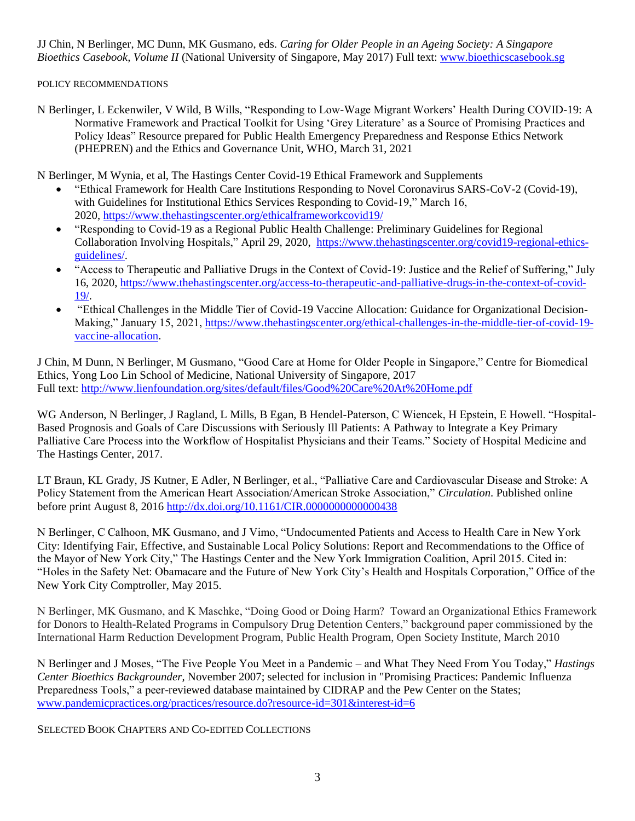JJ Chin, N Berlinger, MC Dunn, MK Gusmano, eds. *Caring for Older People in an Ageing Society: A Singapore Bioethics Casebook, Volume II* (National University of Singapore, May 2017) Full text: [www.bioethicscasebook.sg](http://www.bioethicscasebook.sg/)

POLICY RECOMMENDATIONS

N Berlinger, L Eckenwiler, V Wild, B Wills, "Responding to Low-Wage Migrant Workers' Health During COVID-19: A Normative Framework and Practical Toolkit for Using 'Grey Literature' as a Source of Promising Practices and Policy Ideas" Resource prepared for Public Health Emergency Preparedness and Response Ethics Network (PHEPREN) and the Ethics and Governance Unit, WHO, March 31, 2021

N Berlinger, M Wynia, et al, The Hastings Center Covid-19 Ethical Framework and Supplements

- "Ethical Framework for Health Care Institutions Responding to Novel Coronavirus SARS-CoV-2 (Covid-19), with Guidelines for Institutional Ethics Services Responding to Covid-19," March 16, 2020, <https://www.thehastingscenter.org/ethicalframeworkcovid19/>
- "Responding to Covid-19 as a Regional Public Health Challenge: Preliminary Guidelines for Regional Collaboration Involving Hospitals," April 29, 2020, [https://www.thehastingscenter.org/covid19-regional-ethics](https://www.thehastingscenter.org/covid19-regional-ethics-guidelines/)[guidelines/.](https://www.thehastingscenter.org/covid19-regional-ethics-guidelines/)
- "Access to Therapeutic and Palliative Drugs in the Context of Covid-19: Justice and the Relief of Suffering," July 16, 2020, [https://www.thehastingscenter.org/access-to-therapeutic-and-palliative-drugs-in-the-context-of-covid-](https://www.thehastingscenter.org/access-to-therapeutic-and-palliative-drugs-in-the-context-of-covid-19/)[19/.](https://www.thehastingscenter.org/access-to-therapeutic-and-palliative-drugs-in-the-context-of-covid-19/)
- "Ethical Challenges in the Middle Tier of Covid-19 Vaccine Allocation: Guidance for Organizational Decision-Making," January 15, 2021, [https://www.thehastingscenter.org/ethical-challenges-in-the-middle-tier-of-covid-19](https://www.thehastingscenter.org/ethical-challenges-in-the-middle-tier-of-covid-19-vaccine-allocation) [vaccine-allocation.](https://www.thehastingscenter.org/ethical-challenges-in-the-middle-tier-of-covid-19-vaccine-allocation)

J Chin, M Dunn, N Berlinger, M Gusmano, "Good Care at Home for Older People in Singapore," Centre for Biomedical Ethics, Yong Loo Lin School of Medicine, National University of Singapore, 2017 Full text:<http://www.lienfoundation.org/sites/default/files/Good%20Care%20At%20Home.pdf>

WG Anderson, N Berlinger, J Ragland, L Mills, B Egan, B Hendel-Paterson, C Wiencek, H Epstein, E Howell. "Hospital-Based Prognosis and Goals of Care Discussions with Seriously Ill Patients: A Pathway to Integrate a Key Primary Palliative Care Process into the Workflow of Hospitalist Physicians and their Teams." Society of Hospital Medicine and The Hastings Center, 2017.

LT Braun, KL Grady, JS Kutner, E Adler, N Berlinger, et al., "Palliative Care and Cardiovascular Disease and Stroke: A Policy Statement from the American Heart Association/American Stroke Association," *Circulation*. Published online before print August 8, 2016<http://dx.doi.org/10.1161/CIR.0000000000000438>

N Berlinger, C Calhoon, MK Gusmano, and J Vimo, "Undocumented Patients and Access to Health Care in New York City: Identifying Fair, Effective, and Sustainable Local Policy Solutions: Report and Recommendations to the Office of the Mayor of New York City," The Hastings Center and the New York Immigration Coalition, April 2015. Cited in: "Holes in the Safety Net: Obamacare and the Future of New York City's Health and Hospitals Corporation," Office of the New York City Comptroller, May 2015.

N Berlinger, MK Gusmano, and K Maschke, "Doing Good or Doing Harm? Toward an Organizational Ethics Framework for Donors to Health-Related Programs in Compulsory Drug Detention Centers," background paper commissioned by the International Harm Reduction Development Program, Public Health Program, Open Society Institute, March 2010

N Berlinger and J Moses, "The Five People You Meet in a Pandemic – and What They Need From You Today," *Hastings Center Bioethics Backgrounder,* November 2007; selected for inclusion in "Promising Practices: Pandemic Influenza Preparedness Tools," a peer-reviewed database maintained by CIDRAP and the Pew Center on the States; [www.pandemicpractices.org/practices/resource.do?resource-id=301&interest-id=6](http://www.pandemicpractices.org/practices/resource.do?resource-id=301&interest-id=6)

SELECTED BOOK CHAPTERS AND CO-EDITED COLLECTIONS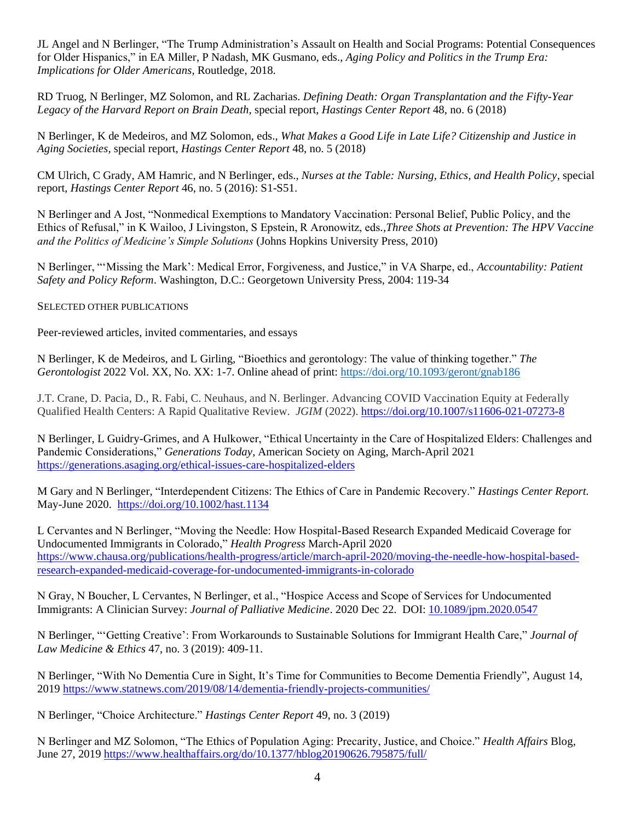JL Angel and N Berlinger, "The Trump Administration's Assault on Health and Social Programs: Potential Consequences for Older Hispanics," in EA Miller, P Nadash, MK Gusmano, eds., *Aging Policy and Politics in the Trump Era: Implications for Older Americans*, Routledge, 2018.

RD Truog, N Berlinger, MZ Solomon, and RL Zacharias. *Defining Death: Organ Transplantation and the Fifty-Year Legacy of the Harvard Report on Brain Death*, special report, *Hastings Center Report* 48, no. 6 (2018)

N Berlinger, K de Medeiros, and MZ Solomon, eds., *What Makes a Good Life in Late Life? Citizenship and Justice in Aging Societies,* special report, *Hastings Center Report* 48, no. 5 (2018)

CM Ulrich, C Grady, AM Hamric, and N Berlinger, eds., *Nurses at the Table: Nursing, Ethics, and Health Policy*, special report, *Hastings Center Report* 46, no. 5 (2016): S1-S51.

N Berlinger and A Jost, "Nonmedical Exemptions to Mandatory Vaccination: Personal Belief, Public Policy, and the Ethics of Refusal," in K Wailoo, J Livingston, S Epstein, R Aronowitz, eds*.,Three Shots at Prevention: The HPV Vaccine and the Politics of Medicine's Simple Solutions* (Johns Hopkins University Press, 2010)

N Berlinger, "'Missing the Mark': Medical Error, Forgiveness, and Justice," in VA Sharpe, ed., *Accountability: Patient Safety and Policy Reform*. Washington, D.C.: Georgetown University Press, 2004: 119-34

SELECTED OTHER PUBLICATIONS

Peer-reviewed articles, invited commentaries, and essays

N Berlinger, K de Medeiros, and L Girling, "Bioethics and gerontology: The value of thinking together." *The Gerontologist* 2022 Vol. XX, No. XX: 1-7. Online ahead of print:<https://doi.org/10.1093/geront/gnab186>

J.T. Crane, D. Pacia, D., R. Fabi, C. Neuhaus, and N. Berlinger. Advancing COVID Vaccination Equity at Federally Qualified Health Centers: A Rapid Qualitative Review. *JGIM* (2022).<https://doi.org/10.1007/s11606-021-07273-8>

N Berlinger, L Guidry-Grimes, and A Hulkower, "Ethical Uncertainty in the Care of Hospitalized Elders: Challenges and Pandemic Considerations," *Generations Today*, American Society on Aging, March-April 2021 <https://generations.asaging.org/ethical-issues-care-hospitalized-elders>

M Gary and N Berlinger, "Interdependent Citizens: The Ethics of Care in Pandemic Recovery." *Hastings Center Report*. May-June 2020. <https://doi.org/10.1002/hast.1134>

L Cervantes and N Berlinger, "Moving the Needle: How Hospital-Based Research Expanded Medicaid Coverage for Undocumented Immigrants in Colorado," *Health Progress* March-April 2020 [https://www.chausa.org/publications/health-progress/article/march-april-2020/moving-the-needle-how-hospital-based](https://www.chausa.org/publications/health-progress/article/march-april-2020/moving-the-needle-how-hospital-based-research-expanded-medicaid-coverage-for-undocumented-immigrants-in-colorado)[research-expanded-medicaid-coverage-for-undocumented-immigrants-in-colorado](https://www.chausa.org/publications/health-progress/article/march-april-2020/moving-the-needle-how-hospital-based-research-expanded-medicaid-coverage-for-undocumented-immigrants-in-colorado)

N Gray, N Boucher, L Cervantes, N Berlinger, et al., "Hospice Access and Scope of Services for Undocumented Immigrants: A Clinician Survey: *Journal of Palliative Medicine*. 2020 Dec 22. DOI: [10.1089/jpm.2020.0547](https://doi.org/10.1089/jpm.2020.0547)

N Berlinger, "'Getting Creative': From Workarounds to Sustainable Solutions for Immigrant Health Care," *Journal of Law Medicine & Ethics* 47, no. 3 (2019): 409-11.

N Berlinger, "With No Dementia Cure in Sight, It's Time for Communities to Become Dementia Friendly", August 14, 2019 <https://www.statnews.com/2019/08/14/dementia-friendly-projects-communities/>

N Berlinger, "Choice Architecture." *Hastings Center Report* 49, no. 3 (2019)

N Berlinger and MZ Solomon, "The Ethics of Population Aging: Precarity, Justice, and Choice." *Health Affairs* Blog, June 27, 2019<https://www.healthaffairs.org/do/10.1377/hblog20190626.795875/full/>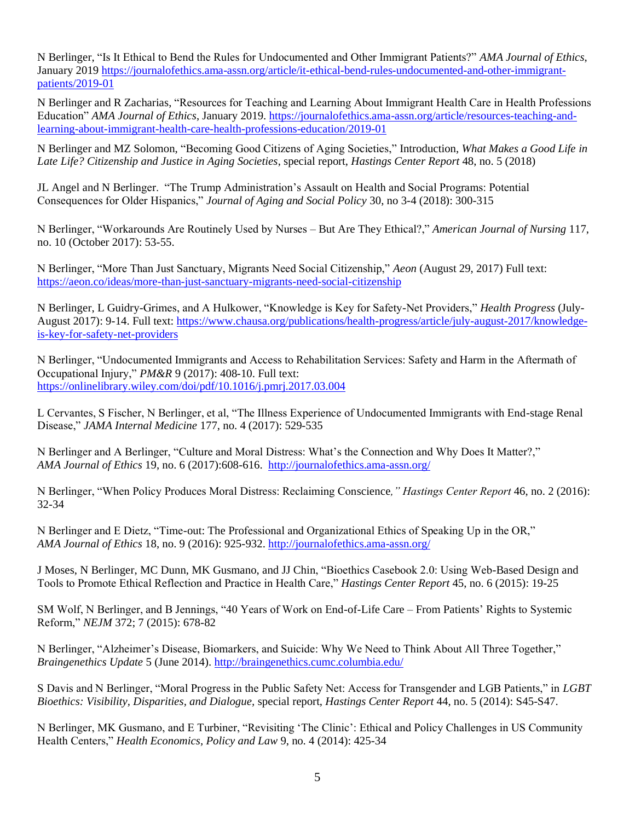N Berlinger, "Is It Ethical to Bend the Rules for Undocumented and Other Immigrant Patients?" *AMA Journal of Ethics*, January 201[9 https://journalofethics.ama-assn.org/article/it-ethical-bend-rules-undocumented-and-other-immigrant](https://journalofethics.ama-assn.org/article/it-ethical-bend-rules-undocumented-and-other-immigrant-patients/2019-01)[patients/2019-01](https://journalofethics.ama-assn.org/article/it-ethical-bend-rules-undocumented-and-other-immigrant-patients/2019-01)

N Berlinger and R Zacharias, "Resources for Teaching and Learning About Immigrant Health Care in Health Professions Education" *AMA Journal of Ethics*, January 2019. [https://journalofethics.ama-assn.org/article/resources-teaching-and](https://journalofethics.ama-assn.org/article/resources-teaching-and-learning-about-immigrant-health-care-health-professions-education/2019-01)[learning-about-immigrant-health-care-health-professions-education/2019-01](https://journalofethics.ama-assn.org/article/resources-teaching-and-learning-about-immigrant-health-care-health-professions-education/2019-01)

N Berlinger and MZ Solomon, "Becoming Good Citizens of Aging Societies," Introduction, *What Makes a Good Life in Late Life? Citizenship and Justice in Aging Societies*, special report, *Hastings Center Report* 48, no. 5 (2018)

JL Angel and N Berlinger. "The Trump Administration's Assault on Health and Social Programs: Potential Consequences for Older Hispanics," *Journal of Aging and Social Policy* 30, no 3-4 (2018): 300-315

N Berlinger, "Workarounds Are Routinely Used by Nurses – But Are They Ethical?," *American Journal of Nursing* 117, no. 10 (October 2017): 53-55.

N Berlinger, "More Than Just Sanctuary, Migrants Need Social Citizenship," *Aeon* (August 29, 2017) Full text: <https://aeon.co/ideas/more-than-just-sanctuary-migrants-need-social-citizenship>

N Berlinger, L Guidry-Grimes, and A Hulkower, "Knowledge is Key for Safety-Net Providers," *Health Progress* (July-August 2017): 9-14. Full text: [https://www.chausa.org/publications/health-progress/article/july-august-2017/knowledge](https://www.chausa.org/publications/health-progress/article/july-august-2017/knowledge-is-key-for-safety-net-providers)[is-key-for-safety-net-providers](https://www.chausa.org/publications/health-progress/article/july-august-2017/knowledge-is-key-for-safety-net-providers)

N Berlinger, "Undocumented Immigrants and Access to Rehabilitation Services: Safety and Harm in the Aftermath of Occupational Injury," *PM&R* 9 (2017): 408-10. Full text: <https://onlinelibrary.wiley.com/doi/pdf/10.1016/j.pmrj.2017.03.004>

L Cervantes, S Fischer, N Berlinger, et al, "The Illness Experience of Undocumented Immigrants with End-stage Renal Disease," *JAMA Internal Medicine* 177, no. 4 (2017): 529-535

N Berlinger and A Berlinger, "Culture and Moral Distress: What's the Connection and Why Does It Matter?," *AMA Journal of Ethics* 19, no. 6 (2017):608-616.<http://journalofethics.ama-assn.org/>

N Berlinger, "When Policy Produces Moral Distress: Reclaiming Conscience*," Hastings Center Report* 46, no. 2 (2016): 32-34

N Berlinger and E Dietz, "Time-out: The Professional and Organizational Ethics of Speaking Up in the OR," *AMA Journal of Ethics* 18, no. 9 (2016): 925-932[. http://journalofethics.ama-assn.org/](http://journalofethics.ama-assn.org/)

J Moses, N Berlinger, MC Dunn, MK Gusmano, and JJ Chin, "Bioethics Casebook 2.0: Using Web-Based Design and Tools to Promote Ethical Reflection and Practice in Health Care," *Hastings Center Report* 45, no. 6 (2015): 19-25

SM Wolf, N Berlinger, and B Jennings, "40 Years of Work on End-of-Life Care – From Patients' Rights to Systemic Reform," *NEJM* 372; 7 (2015): 678-82

N Berlinger, "Alzheimer's Disease, Biomarkers, and Suicide: Why We Need to Think About All Three Together," *Braingenethics Update* 5 (June 2014)[. http://braingenethics.cumc.columbia.edu/](http://braingenethics.cumc.columbia.edu/)

S Davis and N Berlinger, "Moral Progress in the Public Safety Net: Access for Transgender and LGB Patients," in *LGBT Bioethics: Visibility, Disparities, and Dialogue,* special report, *Hastings Center Report* 44, no. 5 (2014): S45-S47.

N Berlinger, MK Gusmano, and E Turbiner, "Revisiting 'The Clinic': Ethical and Policy Challenges in US Community Health Centers," *Health Economics, Policy and Law* 9, no. 4 (2014): 425-34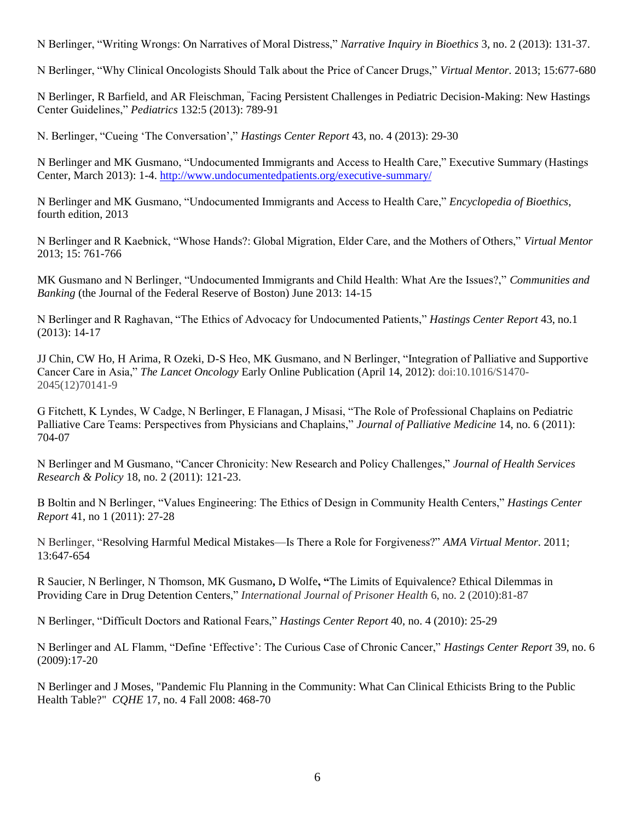N Berlinger, "Writing Wrongs: On Narratives of Moral Distress," *Narrative Inquiry in Bioethics* 3, no. 2 (2013): 131-37.

N Berlinger, "Why Clinical Oncologists Should Talk about the Price of Cancer Drugs," *Virtual Mentor.* 2013; 15:677-680

N Berlinger, R Barfield, and AR Fleischman, "Facing Persistent Challenges in Pediatric Decision-Making: New Hastings Center Guidelines," *Pediatrics* 132:5 (2013): 789-91

N. Berlinger, "Cueing 'The Conversation'," *Hastings Center Report* 43, no. 4 (2013): 29-30

N Berlinger and MK Gusmano, "Undocumented Immigrants and Access to Health Care," Executive Summary (Hastings Center, March 2013): 1-4.<http://www.undocumentedpatients.org/executive-summary/>

N Berlinger and MK Gusmano, "Undocumented Immigrants and Access to Health Care," *Encyclopedia of Bioethics*, fourth edition, 2013

N Berlinger and R Kaebnick, "Whose Hands?: Global Migration, Elder Care, and the Mothers of Others," *Virtual Mentor* 2013; 15: 761-766

MK Gusmano and N Berlinger, "Undocumented Immigrants and Child Health: What Are the Issues?," *Communities and Banking* (the Journal of the Federal Reserve of Boston) June 2013: 14-15

N Berlinger and R Raghavan, "The Ethics of Advocacy for Undocumented Patients," *Hastings Center Report* 43, no.1 (2013): 14-17

JJ Chin, CW Ho, H Arima, R Ozeki, D-S Heo, MK Gusmano, and N Berlinger, "Integration of Palliative and Supportive Cancer Care in Asia," *The Lancet Oncology* Early Online Publication (April 14, 2012): doi:10.1016/S1470- 2045(12)70141-[9](http://www.thelancet.com/popup?fileName=cite-using-doi)

G Fitchett, K Lyndes, W Cadge, N Berlinger, E Flanagan, J Misasi, "The Role of Professional Chaplains on Pediatric Palliative Care Teams: Perspectives from Physicians and Chaplains," *Journal of Palliative Medicine* 14, no. 6 (2011): 704-07

N Berlinger and M Gusmano, "Cancer Chronicity: New Research and Policy Challenges," *Journal of Health Services Research & Policy* 18, no. 2 (2011): 121-23.

B Boltin and N Berlinger, "Values Engineering: The Ethics of Design in Community Health Centers," *Hastings Center Report* 41, no 1 (2011): 27-28

N Berlinger, "Resolving Harmful Medical Mistakes—Is There a Role for Forgiveness?" *AMA Virtual Mentor*. 2011; 13:647-654

R Saucier, N Berlinger, N Thomson, MK Gusmano**,** D Wolfe**, "**The Limits of Equivalence? Ethical Dilemmas in Providing Care in Drug Detention Centers," *International Journal of Prisoner Health* 6, no. 2 (2010):81-87

N Berlinger, "Difficult Doctors and Rational Fears," *Hastings Center Report* 40, no. 4 (2010): 25-29

N Berlinger and AL Flamm, "Define 'Effective': The Curious Case of Chronic Cancer," *Hastings Center Report* 39, no. 6 (2009):17-20

N Berlinger and J Moses, "Pandemic Flu Planning in the Community: What Can Clinical Ethicists Bring to the Public Health Table?" *CQHE* 17, no. 4 Fall 2008: 468-70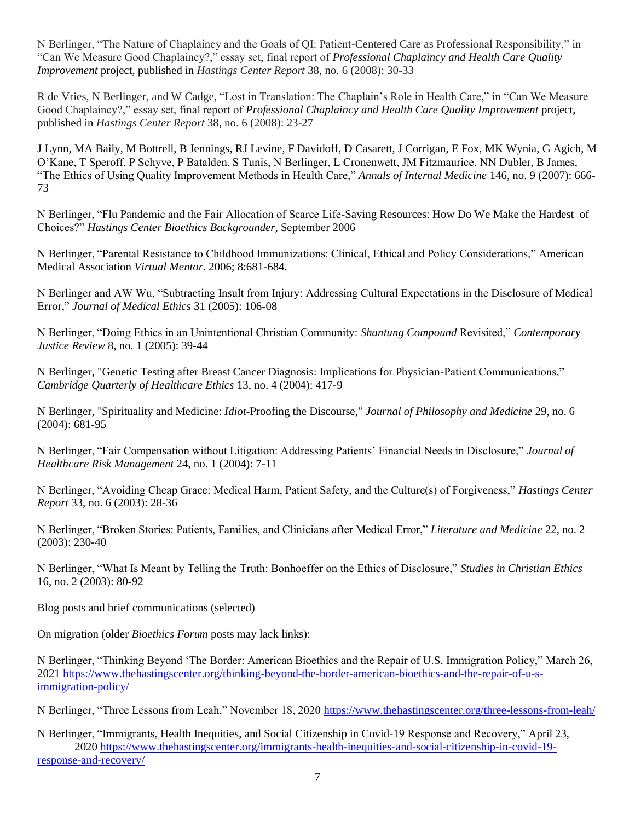N Berlinger, "The Nature of Chaplaincy and the Goals of QI: Patient-Centered Care as Professional Responsibility," in "Can We Measure Good Chaplaincy?," essay set, final report of *Professional Chaplaincy and Health Care Quality Improvement* project, published in *Hastings Center Report* 38, no. 6 (2008): 30-33

R de Vries, N Berlinger, and W Cadge, "Lost in Translation: The Chaplain's Role in Health Care," in "Can We Measure Good Chaplaincy?," essay set, final report of *Professional Chaplaincy and Health Care Quality Improvement* project, published in *Hastings Center Report* 38, no. 6 (2008): 23-27

J Lynn, MA Baily, M Bottrell, B Jennings, RJ Levine, F Davidoff, D Casarett, J Corrigan, E Fox, MK Wynia, G Agich, M O'Kane, T Speroff, P Schyve, P Batalden, S Tunis, N Berlinger, L Cronenwett, JM Fitzmaurice, NN Dubler, B James, "The Ethics of Using Quality Improvement Methods in Health Care," *Annals of Internal Medicine* 146, no. 9 (2007): 666- 73

N Berlinger, "Flu Pandemic and the Fair Allocation of Scarce Life-Saving Resources: How Do We Make the Hardest of Choices?" *Hastings Center Bioethics Backgrounder,* September 2006

N Berlinger, "Parental Resistance to Childhood Immunizations: Clinical, Ethical and Policy Considerations," American Medical Association *Virtual Mentor.* 2006; 8:681-684.

N Berlinger and AW Wu, "Subtracting Insult from Injury: Addressing Cultural Expectations in the Disclosure of Medical Error," *Journal of Medical Ethics* 31 (2005): 106-08

N Berlinger, "Doing Ethics in an Unintentional Christian Community: *Shantung Compound* Revisited," *Contemporary Justice Review* 8, no. 1 (2005): 39-44

N Berlinger, "Genetic Testing after Breast Cancer Diagnosis: Implications for Physician-Patient Communications," *Cambridge Quarterly of Healthcare Ethics* 13, no. 4 (2004): 417-9

N Berlinger, "Spirituality and Medicine: *Idiot-*Proofing the Discourse," *Journal of Philosophy and Medicine* 29, no. 6 (2004): 681-95

N Berlinger, "Fair Compensation without Litigation: Addressing Patients' Financial Needs in Disclosure," *Journal of Healthcare Risk Management* 24, no. 1 (2004): 7-11

N Berlinger, "Avoiding Cheap Grace: Medical Harm, Patient Safety, and the Culture(s) of Forgiveness," *Hastings Center Report* 33, no. 6 (2003): 28-36

N Berlinger, "Broken Stories: Patients, Families, and Clinicians after Medical Error," *Literature and Medicine* 22, no. 2 (2003): 230-40

N Berlinger, "What Is Meant by Telling the Truth: Bonhoeffer on the Ethics of Disclosure," *Studies in Christian Ethics* 16, no. 2 (2003): 80-92

Blog posts and brief communications (selected)

On migration (older *Bioethics Forum* posts may lack links):

N Berlinger, "Thinking Beyond 'The Border: American Bioethics and the Repair of U.S. Immigration Policy," March 26, 202[1 https://www.thehastingscenter.org/thinking-beyond-the-border-american-bioethics-and-the-repair-of-u-s](https://www.thehastingscenter.org/thinking-beyond-the-border-american-bioethics-and-the-repair-of-u-s-immigration-policy/)[immigration-policy/](https://www.thehastingscenter.org/thinking-beyond-the-border-american-bioethics-and-the-repair-of-u-s-immigration-policy/)

N Berlinger, "Three Lessons from Leah," November 18, 2020<https://www.thehastingscenter.org/three-lessons-from-leah/>

N Berlinger, "Immigrants, Health Inequities, and Social Citizenship in Covid-19 Response and Recovery," April 23, 2020 [https://www.thehastingscenter.org/immigrants-health-inequities-and-social-citizenship-in-covid-19](https://www.thehastingscenter.org/immigrants-health-inequities-and-social-citizenship-in-covid-19-response-and-recovery/) [response-and-recovery/](https://www.thehastingscenter.org/immigrants-health-inequities-and-social-citizenship-in-covid-19-response-and-recovery/)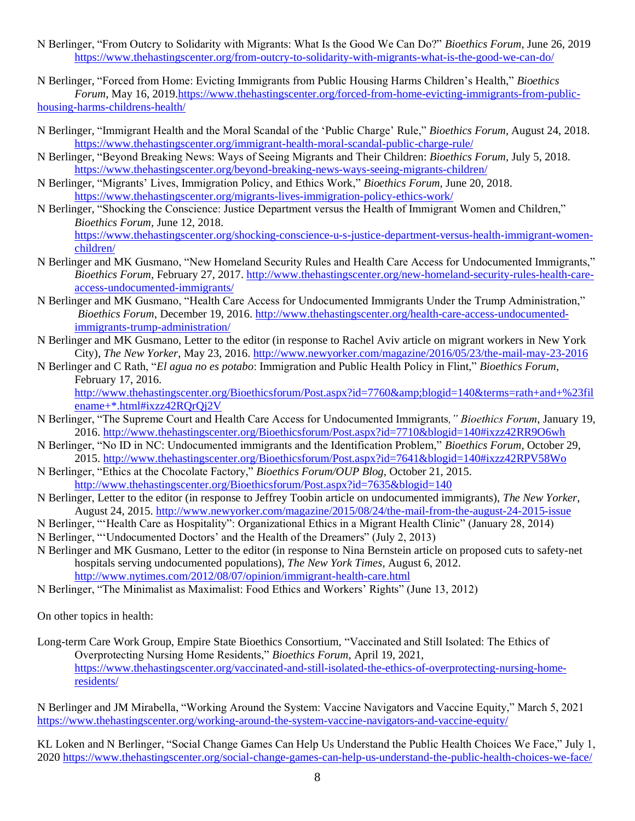- N Berlinger, "From Outcry to Solidarity with Migrants: What Is the Good We Can Do?" *Bioethics Forum*, June 26, 2019 <https://www.thehastingscenter.org/from-outcry-to-solidarity-with-migrants-what-is-the-good-we-can-do/>
- N Berlinger, "Forced from Home: Evicting Immigrants from Public Housing Harms Children's Health," *Bioethics Forum*, May 16, 201[9.https://www.thehastingscenter.org/forced-from-home-evicting-immigrants-from-public](https://www.thehastingscenter.org/forced-from-home-evicting-immigrants-from-public-housing-harms-childrens-health/)[housing-harms-childrens-health/](https://www.thehastingscenter.org/forced-from-home-evicting-immigrants-from-public-housing-harms-childrens-health/)
- N Berlinger, "Immigrant Health and the Moral Scandal of the 'Public Charge' Rule," *Bioethics Forum,* August 24, 2018. <https://www.thehastingscenter.org/immigrant-health-moral-scandal-public-charge-rule/>
- N Berlinger, "Beyond Breaking News: Ways of Seeing Migrants and Their Children: *Bioethics Forum,* July 5, 2018. <https://www.thehastingscenter.org/beyond-breaking-news-ways-seeing-migrants-children/>
- N Berlinger, "Migrants' Lives, Immigration Policy, and Ethics Work," *Bioethics Forum,* June 20, 2018. <https://www.thehastingscenter.org/migrants-lives-immigration-policy-ethics-work/>
- N Berlinger, "Shocking the Conscience: Justice Department versus the Health of Immigrant Women and Children," *Bioethics Forum,* June 12, 2018. [https://www.thehastingscenter.org/shocking-conscience-u-s-justice-department-versus-health-immigrant-women](https://www.thehastingscenter.org/shocking-conscience-u-s-justice-department-versus-health-immigrant-women-children/)[children/](https://www.thehastingscenter.org/shocking-conscience-u-s-justice-department-versus-health-immigrant-women-children/)
- N Berlinger and MK Gusmano, "New Homeland Security Rules and Health Care Access for Undocumented Immigrants," *Bioethics Forum*, February 27, 2017[. http://www.thehastingscenter.org/new-homeland-security-rules-health-care](http://www.thehastingscenter.org/new-homeland-security-rules-health-care-access-undocumented-immigrants/)[access-undocumented-immigrants/](http://www.thehastingscenter.org/new-homeland-security-rules-health-care-access-undocumented-immigrants/)
- N Berlinger and MK Gusmano, "Health Care Access for Undocumented Immigrants Under the Trump Administration," *Bioethics Forum*, December 19, 2016. [http://www.thehastingscenter.org/health-care-access-undocumented](http://www.thehastingscenter.org/health-care-access-undocumented-immigrants-trump-administration/)[immigrants-trump-administration/](http://www.thehastingscenter.org/health-care-access-undocumented-immigrants-trump-administration/)
- N Berlinger and MK Gusmano, Letter to the editor (in response to Rachel Aviv article on migrant workers in New York City), *The New Yorker*, May 23, 2016. <http://www.newyorker.com/magazine/2016/05/23/the-mail-may-23-2016>
- N Berlinger and C Rath, "*El agua no es potabo*: Immigration and Public Health Policy in Flint," *Bioethics Forum*, February 17, 2016.

[http://www.thehastingscenter.org/Bioethicsforum/Post.aspx?id=7760&blogid=140&terms=rath+and+%23fil](http://www.thehastingscenter.org/Bioethicsforum/Post.aspx?id=7760&blogid=140&terms=rath+and+%23filename+*.html#ixzz42RQrQj2V) [ename+\\*.html#ixzz42RQrQj2V](http://www.thehastingscenter.org/Bioethicsforum/Post.aspx?id=7760&blogid=140&terms=rath+and+%23filename+*.html#ixzz42RQrQj2V)

- N Berlinger, "The Supreme Court and Health Care Access for Undocumented Immigrants*," Bioethics Forum*, January 19, 2016.<http://www.thehastingscenter.org/Bioethicsforum/Post.aspx?id=7710&blogid=140#ixzz42RR9O6wh>
- N Berlinger, "No ID in NC: Undocumented immigrants and the Identification Problem," *Bioethics Forum*, October 29, 2015.<http://www.thehastingscenter.org/Bioethicsforum/Post.aspx?id=7641&blogid=140#ixzz42RPV58Wo>
- N Berlinger, "Ethics at the Chocolate Factory," *Bioethics Forum/OUP Blog,* October 21, 2015. <http://www.thehastingscenter.org/Bioethicsforum/Post.aspx?id=7635&blogid=140>
- N Berlinger, Letter to the editor (in response to Jeffrey Toobin article on undocumented immigrants), *The New Yorker*, August 24, 2015.<http://www.newyorker.com/magazine/2015/08/24/the-mail-from-the-august-24-2015-issue>
- N Berlinger, "'Health Care as Hospitality": Organizational Ethics in a Migrant Health Clinic" (January 28, 2014)
- N Berlinger, "'Undocumented Doctors' and the Health of the Dreamers" (July 2, 2013)
- N Berlinger and MK Gusmano, Letter to the editor (in response to Nina Bernstein article on proposed cuts to safety-net hospitals serving undocumented populations), *The New York Times,* August 6, 2012. <http://www.nytimes.com/2012/08/07/opinion/immigrant-health-care.html>
- N Berlinger, "The Minimalist as Maximalist: Food Ethics and Workers' Rights" (June 13, 2012)

On other topics in health:

Long-term Care Work Group, Empire State Bioethics Consortium, "Vaccinated and Still Isolated: The Ethics of Overprotecting Nursing Home Residents," *Bioethics Forum*, April 19, 2021, [https://www.thehastingscenter.org/vaccinated-and-still-isolated-the-ethics-of-overprotecting-nursing-home](https://www.thehastingscenter.org/vaccinated-and-still-isolated-the-ethics-of-overprotecting-nursing-home-residents/)[residents/](https://www.thehastingscenter.org/vaccinated-and-still-isolated-the-ethics-of-overprotecting-nursing-home-residents/)

N Berlinger and JM Mirabella, "Working Around the System: Vaccine Navigators and Vaccine Equity," March 5, 2021 <https://www.thehastingscenter.org/working-around-the-system-vaccine-navigators-and-vaccine-equity/>

KL Loken and N Berlinger, "Social Change Games Can Help Us Understand the Public Health Choices We Face," July 1, 202[0 https://www.thehastingscenter.org/social-change-games-can-help-us-understand-the-public-health-choices-we-face/](https://www.thehastingscenter.org/social-change-games-can-help-us-understand-the-public-health-choices-we-face/)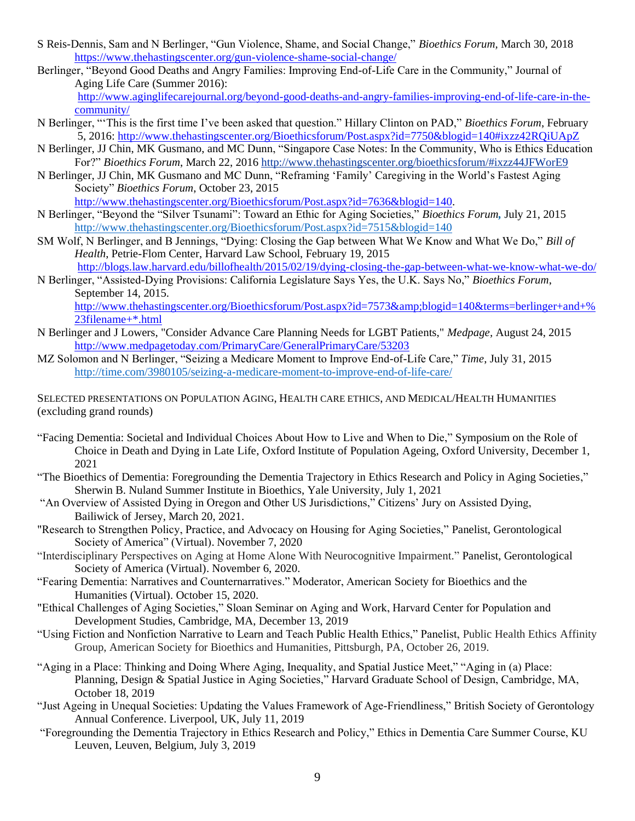- S Reis-Dennis, Sam and N Berlinger, "Gun Violence, Shame, and Social Change," *Bioethics Forum,* March 30, 2018 <https://www.thehastingscenter.org/gun-violence-shame-social-change/>
- Berlinger, "Beyond Good Deaths and Angry Families: Improving End-of-Life Care in the Community," Journal of Aging Life Care (Summer 2016):

[http://www.aginglifecarejournal.org/beyond-good-deaths-and-angry-families-improving-end-of-life-care-in-the](http://www.aginglifecarejournal.org/beyond-good-deaths-and-angry-families-improving-end-of-life-care-in-the-community/)[community/](http://www.aginglifecarejournal.org/beyond-good-deaths-and-angry-families-improving-end-of-life-care-in-the-community/)

- N Berlinger, "'This is the first time I've been asked that question." Hillary Clinton on PAD," *Bioethics Forum*, February 5, 2016:<http://www.thehastingscenter.org/Bioethicsforum/Post.aspx?id=7750&blogid=140#ixzz42RQiUApZ>
- N Berlinger, JJ Chin, MK Gusmano, and MC Dunn, "Singapore Case Notes: In the Community, Who is Ethics Education For?" *Bioethics Forum*, March 22, 201[6 http://www.thehastingscenter.org/bioethicsforum/#ixzz44JFWorE9](http://www.thehastingscenter.org/bioethicsforum/#ixzz44JFWorE9)
- N Berlinger, JJ Chin, MK Gusmano and MC Dunn, "Reframing 'Family' Caregiving in the World's Fastest Aging Society" *Bioethics Forum*, October 23, 2015

[http://www.thehastingscenter.org/Bioethicsforum/Post.aspx?id=7636&blogid=140.](http://www.thehastingscenter.org/Bioethicsforum/Post.aspx?id=7636&blogid=140)

- N Berlinger, "Beyond the "Silver Tsunami": Toward an Ethic for Aging Societies," *Bioethics Forum,* July 21, 2015 <http://www.thehastingscenter.org/Bioethicsforum/Post.aspx?id=7515&blogid=140>
- SM Wolf, N Berlinger, and B Jennings, "Dying: Closing the Gap between What We Know and What We Do," *Bill of Health*, Petrie-Flom Center, Harvard Law School, February 19, 2015 <http://blogs.law.harvard.edu/billofhealth/2015/02/19/dying-closing-the-gap-between-what-we-know-what-we-do/>
- N Berlinger, "Assisted-Dying Provisions: California Legislature Says Yes, the U.K. Says No," *Bioethics Forum*, September 14, 2015.

[http://www.thehastingscenter.org/Bioethicsforum/Post.aspx?id=7573&blogid=140&terms=berlinger+and+%](http://www.thehastingscenter.org/Bioethicsforum/Post.aspx?id=7573&blogid=140&terms=berlinger+and+%23filename+*.html) [23filename+\\*.html](http://www.thehastingscenter.org/Bioethicsforum/Post.aspx?id=7573&blogid=140&terms=berlinger+and+%23filename+*.html)

- N Berlinger and J Lowers, "Consider Advance Care Planning Needs for LGBT Patients," *Medpage,* August 24, 2015 <http://www.medpagetoday.com/PrimaryCare/GeneralPrimaryCare/53203>
- MZ Solomon and N Berlinger, "Seizing a Medicare Moment to Improve End-of-Life Care," *Time*, July 31, 2015 <http://time.com/3980105/seizing-a-medicare-moment-to-improve-end-of-life-care/>

SELECTED PRESENTATIONS ON POPULATION AGING, HEALTH CARE ETHICS, AND MEDICAL/HEALTH HUMANITIES (excluding grand rounds)

- "Facing Dementia: Societal and Individual Choices About How to Live and When to Die," Symposium on the Role of Choice in Death and Dying in Late Life, Oxford Institute of Population Ageing, Oxford University, December 1, 2021
- "The Bioethics of Dementia: Foregrounding the Dementia Trajectory in Ethics Research and Policy in Aging Societies," Sherwin B. Nuland Summer Institute in Bioethics, Yale University, July 1, 2021
- "An Overview of Assisted Dying in Oregon and Other US Jurisdictions," Citizens' Jury on Assisted Dying, Bailiwick of Jersey, March 20, 2021.
- "Research to Strengthen Policy, Practice, and Advocacy on Housing for Aging Societies," Panelist, Gerontological Society of America" (Virtual). November 7, 2020
- "Interdisciplinary Perspectives on Aging at Home Alone With Neurocognitive Impairment." Panelist, Gerontological Society of America (Virtual). November 6, 2020.
- "Fearing Dementia: Narratives and Counternarratives." Moderator, American Society for Bioethics and the Humanities (Virtual). October 15, 2020.
- "Ethical Challenges of Aging Societies," Sloan Seminar on Aging and Work, Harvard Center for Population and Development Studies, Cambridge, MA, December 13, 2019
- "Using Fiction and Nonfiction Narrative to Learn and Teach Public Health Ethics," Panelist, Public Health Ethics Affinity Group, American Society for Bioethics and Humanities, Pittsburgh, PA, October 26, 2019.
- "Aging in a Place: Thinking and Doing Where Aging, Inequality, and Spatial Justice Meet," "Aging in (a) Place: Planning, Design & Spatial Justice in Aging Societies," Harvard Graduate School of Design, Cambridge, MA, October 18, 2019
- "Just Ageing in Unequal Societies: Updating the Values Framework of Age-Friendliness," British Society of Gerontology Annual Conference. Liverpool, UK, July 11, 2019
- "Foregrounding the Dementia Trajectory in Ethics Research and Policy," Ethics in Dementia Care Summer Course, KU Leuven, Leuven, Belgium, July 3, 2019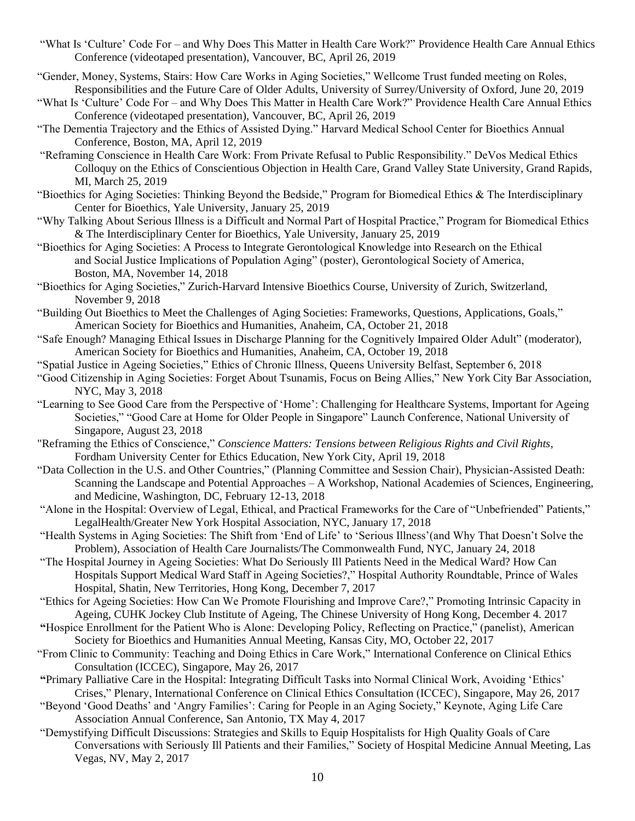- "What Is 'Culture' Code For and Why Does This Matter in Health Care Work?" Providence Health Care Annual Ethics Conference (videotaped presentation), Vancouver, BC, April 26, 2019
- "Gender, Money, Systems, Stairs: How Care Works in Aging Societies," Wellcome Trust funded meeting on Roles, Responsibilities and the Future Care of Older Adults, University of Surrey/University of Oxford, June 20, 2019
- "What Is 'Culture' Code For and Why Does This Matter in Health Care Work?" Providence Health Care Annual Ethics Conference (videotaped presentation), Vancouver, BC, April 26, 2019
- "The Dementia Trajectory and the Ethics of Assisted Dying." Harvard Medical School Center for Bioethics Annual Conference, Boston, MA, April 12, 2019
- "Reframing Conscience in Health Care Work: From Private Refusal to Public Responsibility." DeVos Medical Ethics Colloquy on the Ethics of Conscientious Objection in Health Care, Grand Valley State University, Grand Rapids, MI, March 25, 2019
- "Bioethics for Aging Societies: Thinking Beyond the Bedside," Program for Biomedical Ethics & The Interdisciplinary Center for Bioethics, Yale University, January 25, 2019
- "Why Talking About Serious Illness is a Difficult and Normal Part of Hospital Practice," Program for Biomedical Ethics & The Interdisciplinary Center for Bioethics, Yale University, January 25, 2019
- "Bioethics for Aging Societies: A Process to Integrate Gerontological Knowledge into Research on the Ethical and Social Justice Implications of Population Aging" (poster), Gerontological Society of America, Boston, MA, November 14, 2018
- "Bioethics for Aging Societies," Zurich-Harvard Intensive Bioethics Course, University of Zurich, Switzerland, November 9, 2018
- "Building Out Bioethics to Meet the Challenges of Aging Societies: Frameworks, Questions, Applications, Goals," American Society for Bioethics and Humanities, Anaheim, CA, October 21, 2018
- "Safe Enough? Managing Ethical Issues in Discharge Planning for the Cognitively Impaired Older Adult" (moderator), American Society for Bioethics and Humanities, Anaheim, CA, October 19, 2018
- "Spatial Justice in Ageing Societies," Ethics of Chronic Illness, Queens University Belfast, September 6, 2018
- "Good Citizenship in Aging Societies: Forget About Tsunamis, Focus on Being Allies," New York City Bar Association, NYC, May 3, 2018
- "Learning to See Good Care from the Perspective of 'Home': Challenging for Healthcare Systems, Important for Ageing Societies," "Good Care at Home for Older People in Singapore" Launch Conference, National University of Singapore, August 23, 2018
- "Reframing the Ethics of Conscience," *Conscience Matters: Tensions between Religious Rights and Civil Rights*, Fordham University Center for Ethics Education, New York City, April 19, 2018
- "Data Collection in the U.S. and Other Countries," (Planning Committee and Session Chair), Physician-Assisted Death: Scanning the Landscape and Potential Approaches – A Workshop, National Academies of Sciences, Engineering, and Medicine, Washington, DC, February 12-13, 2018
- "Alone in the Hospital: Overview of Legal, Ethical, and Practical Frameworks for the Care of "Unbefriended" Patients," LegalHealth/Greater New York Hospital Association, NYC, January 17, 2018
- "Health Systems in Aging Societies: The Shift from 'End of Life' to 'Serious Illness'(and Why That Doesn't Solve the Problem), Association of Health Care Journalists/The Commonwealth Fund, NYC, January 24, 2018
- "The Hospital Journey in Ageing Societies: What Do Seriously Ill Patients Need in the Medical Ward? How Can Hospitals Support Medical Ward Staff in Ageing Societies?," Hospital Authority Roundtable, Prince of Wales Hospital, Shatin, New Territories, Hong Kong, December 7, 2017
- "Ethics for Ageing Societies: How Can We Promote Flourishing and Improve Care?," Promoting Intrinsic Capacity in Ageing, CUHK Jockey Club Institute of Ageing, The Chinese University of Hong Kong, December 4. 2017
- **"**Hospice Enrollment for the Patient Who is Alone: Developing Policy, Reflecting on Practice," (panelist), American Society for Bioethics and Humanities Annual Meeting, Kansas City, MO, October 22, 2017
- "From Clinic to Community: Teaching and Doing Ethics in Care Work," International Conference on Clinical Ethics Consultation (ICCEC), Singapore, May 26, 2017
- **"**Primary Palliative Care in the Hospital: Integrating Difficult Tasks into Normal Clinical Work, Avoiding 'Ethics' Crises," Plenary, International Conference on Clinical Ethics Consultation (ICCEC), Singapore, May 26, 2017
- "Beyond 'Good Deaths' and 'Angry Families': Caring for People in an Aging Society," Keynote, Aging Life Care Association Annual Conference, San Antonio, TX May 4, 2017
- "Demystifying Difficult Discussions: Strategies and Skills to Equip Hospitalists for High Quality Goals of Care Conversations with Seriously Ill Patients and their Families," Society of Hospital Medicine Annual Meeting, Las Vegas, NV, May 2, 2017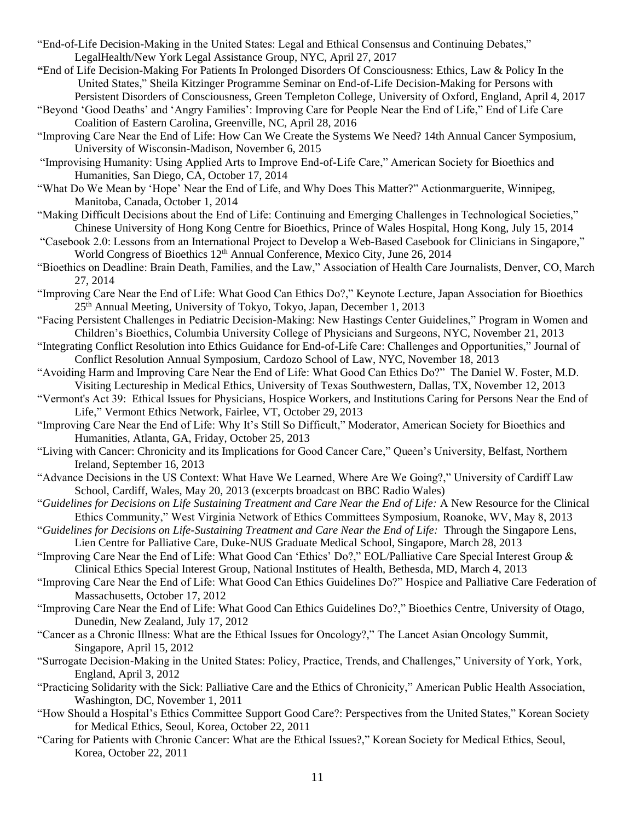- "End-of-Life Decision-Making in the United States: Legal and Ethical Consensus and Continuing Debates," LegalHealth/New York Legal Assistance Group, NYC, April 27, 2017
- **"**End of Life Decision-Making For Patients In Prolonged Disorders Of Consciousness: Ethics, Law & Policy In the United States," Sheila Kitzinger Programme Seminar on End-of-Life Decision-Making for Persons with Persistent Disorders of Consciousness, Green Templeton College, University of Oxford, England, April 4, 2017
- "Beyond 'Good Deaths' and 'Angry Families': Improving Care for People Near the End of Life," End of Life Care Coalition of Eastern Carolina, Greenville, NC, April 28, 2016
- "Improving Care Near the End of Life: How Can We Create the Systems We Need? 14th Annual Cancer Symposium, University of Wisconsin-Madison, November 6, 2015
- "Improvising Humanity: Using Applied Arts to Improve End-of-Life Care," American Society for Bioethics and Humanities, San Diego, CA, October 17, 2014
- "What Do We Mean by 'Hope' Near the End of Life, and Why Does This Matter?" Actionmarguerite, Winnipeg, Manitoba, Canada, October 1, 2014
- "Making Difficult Decisions about the End of Life: Continuing and Emerging Challenges in Technological Societies," Chinese University of Hong Kong Centre for Bioethics, Prince of Wales Hospital, Hong Kong, July 15, 2014
- "Casebook 2.0: Lessons from an International Project to Develop a Web-Based Casebook for Clinicians in Singapore," World Congress of Bioethics 12<sup>th</sup> Annual Conference, Mexico City, June 26, 2014
- "Bioethics on Deadline: Brain Death, Families, and the Law," Association of Health Care Journalists, Denver, CO, March 27, 2014
- "Improving Care Near the End of Life: What Good Can Ethics Do?," Keynote Lecture, Japan Association for Bioethics 25th Annual Meeting, University of Tokyo, Tokyo, Japan, December 1, 2013
- "Facing Persistent Challenges in Pediatric Decision-Making: New Hastings Center Guidelines," Program in Women and Children's Bioethics, Columbia University College of Physicians and Surgeons, NYC, November 21, 2013
- "Integrating Conflict Resolution into Ethics Guidance for End-of-Life Care: Challenges and Opportunities," Journal of Conflict Resolution Annual Symposium, Cardozo School of Law, NYC, November 18, 2013
- "Avoiding Harm and Improving Care Near the End of Life: What Good Can Ethics Do?" The Daniel W. Foster, M.D. Visiting Lectureship in Medical Ethics, University of Texas Southwestern, Dallas, TX, November 12, 2013
- "Vermont's Act 39: Ethical Issues for Physicians, Hospice Workers, and Institutions Caring for Persons Near the End of Life," Vermont Ethics Network, Fairlee, VT, October 29, 2013
- "Improving Care Near the End of Life: Why It's Still So Difficult," Moderator, American Society for Bioethics and Humanities, Atlanta, GA, Friday, October 25, 2013
- "Living with Cancer: Chronicity and its Implications for Good Cancer Care," Queen's University, Belfast, Northern Ireland, September 16, 2013
- "Advance Decisions in the US Context: What Have We Learned, Where Are We Going?," University of Cardiff Law School, Cardiff, Wales, May 20, 2013 (excerpts broadcast on BBC Radio Wales)
- "*Guidelines for Decisions on Life Sustaining Treatment and Care Near the End of Life:* A New Resource for the Clinical Ethics Community," West Virginia Network of Ethics Committees Symposium, Roanoke, WV, May 8, 2013
- "*Guidelines for Decisions on Life-Sustaining Treatment and Care Near the End of Life:* Through the Singapore Lens, Lien Centre for Palliative Care, Duke-NUS Graduate Medical School, Singapore, March 28, 2013
- "Improving Care Near the End of Life: What Good Can 'Ethics' Do?," EOL/Palliative Care Special Interest Group & Clinical Ethics Special Interest Group, National Institutes of Health, Bethesda, MD, March 4, 2013
- "Improving Care Near the End of Life: What Good Can Ethics Guidelines Do?" Hospice and Palliative Care Federation of Massachusetts, October 17, 2012
- "Improving Care Near the End of Life: What Good Can Ethics Guidelines Do?," Bioethics Centre, University of Otago, Dunedin, New Zealand, July 17, 2012
- "Cancer as a Chronic Illness: What are the Ethical Issues for Oncology?," The Lancet Asian Oncology Summit, Singapore, April 15, 2012
- "Surrogate Decision-Making in the United States: Policy, Practice, Trends, and Challenges," University of York, York, England, April 3, 2012
- "Practicing Solidarity with the Sick: Palliative Care and the Ethics of Chronicity," American Public Health Association, Washington, DC, November 1, 2011
- "How Should a Hospital's Ethics Committee Support Good Care?: Perspectives from the United States," Korean Society for Medical Ethics, Seoul, Korea, October 22, 2011
- "Caring for Patients with Chronic Cancer: What are the Ethical Issues?," Korean Society for Medical Ethics, Seoul, Korea, October 22, 2011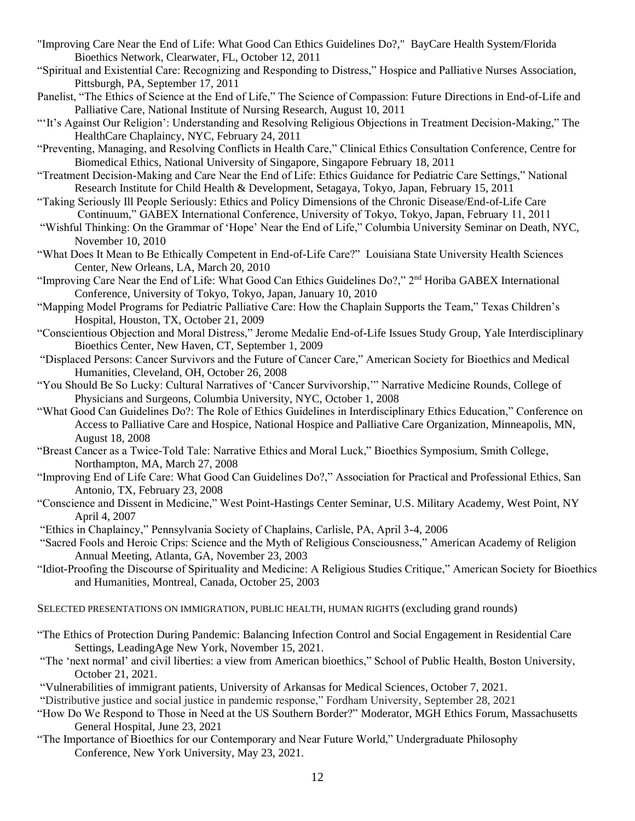- "Improving Care Near the End of Life: What Good Can Ethics Guidelines Do?," BayCare Health System/Florida Bioethics Network, Clearwater, FL, October 12, 2011
- "Spiritual and Existential Care: Recognizing and Responding to Distress," Hospice and Palliative Nurses Association, Pittsburgh, PA, September 17, 2011
- Panelist, "The Ethics of Science at the End of Life," The Science of Compassion: Future Directions in End-of-Life and Palliative Care, National Institute of Nursing Research, August 10, 2011
- "'It's Against Our Religion': Understanding and Resolving Religious Objections in Treatment Decision-Making," The HealthCare Chaplaincy, NYC, February 24, 2011
- "Preventing, Managing, and Resolving Conflicts in Health Care," Clinical Ethics Consultation Conference, Centre for Biomedical Ethics, National University of Singapore, Singapore February 18, 2011
- "Treatment Decision-Making and Care Near the End of Life: Ethics Guidance for Pediatric Care Settings," National Research Institute for Child Health & Development, Setagaya, Tokyo, Japan, February 15, 2011
- "Taking Seriously Ill People Seriously: Ethics and Policy Dimensions of the Chronic Disease/End-of-Life Care Continuum," GABEX International Conference, University of Tokyo, Tokyo, Japan, February 11, 2011
- "Wishful Thinking: On the Grammar of 'Hope' Near the End of Life," Columbia University Seminar on Death, NYC, November 10, 2010
- "What Does It Mean to Be Ethically Competent in End-of-Life Care?" Louisiana State University Health Sciences Center, New Orleans, LA, March 20, 2010
- "Improving Care Near the End of Life: What Good Can Ethics Guidelines Do?," 2<sup>nd</sup> Horiba GABEX International Conference, University of Tokyo, Tokyo, Japan, January 10, 2010
- "Mapping Model Programs for Pediatric Palliative Care: How the Chaplain Supports the Team," Texas Children's Hospital, Houston, TX, October 21, 2009
- "Conscientious Objection and Moral Distress," Jerome Medalie End-of-Life Issues Study Group, Yale Interdisciplinary Bioethics Center, New Haven, CT, September 1, 2009
- "Displaced Persons: Cancer Survivors and the Future of Cancer Care," American Society for Bioethics and Medical Humanities, Cleveland, OH, October 26, 2008
- "You Should Be So Lucky: Cultural Narratives of 'Cancer Survivorship,'" Narrative Medicine Rounds, College of Physicians and Surgeons, Columbia University, NYC, October 1, 2008
- "What Good Can Guidelines Do?: The Role of Ethics Guidelines in Interdisciplinary Ethics Education," Conference on Access to Palliative Care and Hospice, National Hospice and Palliative Care Organization, Minneapolis, MN, August 18, 2008
- "Breast Cancer as a Twice-Told Tale: Narrative Ethics and Moral Luck," Bioethics Symposium, Smith College, Northampton, MA, March 27, 2008
- "Improving End of Life Care: What Good Can Guidelines Do?," Association for Practical and Professional Ethics, San Antonio, TX, February 23, 2008
- "Conscience and Dissent in Medicine," West Point-Hastings Center Seminar, U.S. Military Academy, West Point, NY April 4, 2007
- "Ethics in Chaplaincy," Pennsylvania Society of Chaplains, Carlisle, PA, April 3-4, 2006
- "Sacred Fools and Heroic Crips: Science and the Myth of Religious Consciousness," American Academy of Religion Annual Meeting, Atlanta, GA, November 23, 2003
- "Idiot-Proofing the Discourse of Spirituality and Medicine: A Religious Studies Critique," American Society for Bioethics and Humanities, Montreal, Canada, October 25, 2003
- SELECTED PRESENTATIONS ON IMMIGRATION, PUBLIC HEALTH, HUMAN RIGHTS (excluding grand rounds)
- "The Ethics of Protection During Pandemic: Balancing Infection Control and Social Engagement in Residential Care Settings, LeadingAge New York, November 15, 2021.
- "The 'next normal' and civil liberties: a view from American bioethics," School of Public Health, Boston University, October 21, 2021.
- "Vulnerabilities of immigrant patients, University of Arkansas for Medical Sciences, October 7, 2021.
- "Distributive justice and social justice in pandemic response," Fordham University, September 28, 2021
- "How Do We Respond to Those in Need at the US Southern Border?" Moderator, MGH Ethics Forum, Massachusetts General Hospital, June 23, 2021
- "The Importance of Bioethics for our Contemporary and Near Future World," Undergraduate Philosophy Conference, New York University, May 23, 2021.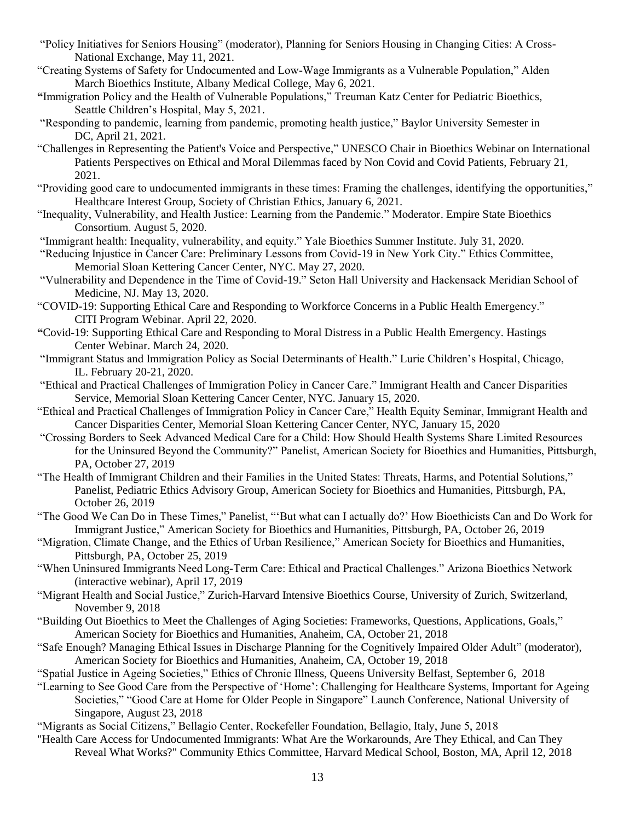- "Policy Initiatives for Seniors Housing" (moderator), Planning for Seniors Housing in Changing Cities: A Cross-National Exchange, May 11, 2021.
- "Creating Systems of Safety for Undocumented and Low-Wage Immigrants as a Vulnerable Population," Alden March Bioethics Institute, Albany Medical College, May 6, 2021.
- **"**Immigration Policy and the Health of Vulnerable Populations," Treuman Katz Center for Pediatric Bioethics, Seattle Children's Hospital, May 5, 2021.
- "Responding to pandemic, learning from pandemic, promoting health justice," Baylor University Semester in DC, April 21, 2021.
- "Challenges in Representing the Patient's Voice and Perspective," UNESCO Chair in Bioethics Webinar on International Patients Perspectives on Ethical and Moral Dilemmas faced by Non Covid and Covid Patients, February 21, 2021.
- "Providing good care to undocumented immigrants in these times: Framing the challenges, identifying the opportunities," Healthcare Interest Group, Society of Christian Ethics, January 6, 2021.
- "Inequality, Vulnerability, and Health Justice: Learning from the Pandemic." Moderator. Empire State Bioethics Consortium. August 5, 2020.
- "Immigrant health: Inequality, vulnerability, and equity." Yale Bioethics Summer Institute. July 31, 2020.

"Reducing Injustice in Cancer Care: Preliminary Lessons from Covid-19 in New York City." Ethics Committee, Memorial Sloan Kettering Cancer Center, NYC. May 27, 2020.

- "Vulnerability and Dependence in the Time of Covid-19." Seton Hall University and Hackensack Meridian School of Medicine, NJ. May 13, 2020.
- "COVID-19: Supporting Ethical Care and Responding to Workforce Concerns in a Public Health Emergency." CITI Program Webinar. April 22, 2020.
- **"**Covid-19: Supporting Ethical Care and Responding to Moral Distress in a Public Health Emergency. Hastings Center Webinar. March 24, 2020.
- "Immigrant Status and Immigration Policy as Social Determinants of Health." Lurie Children's Hospital, Chicago, IL. February 20-21, 2020.
- "Ethical and Practical Challenges of Immigration Policy in Cancer Care." Immigrant Health and Cancer Disparities Service, Memorial Sloan Kettering Cancer Center, NYC. January 15, 2020.
- "Ethical and Practical Challenges of Immigration Policy in Cancer Care," Health Equity Seminar, Immigrant Health and Cancer Disparities Center, Memorial Sloan Kettering Cancer Center, NYC, January 15, 2020
- "Crossing Borders to Seek Advanced Medical Care for a Child: How Should Health Systems Share Limited Resources for the Uninsured Beyond the Community?" Panelist, American Society for Bioethics and Humanities, Pittsburgh, PA, October 27, 2019
- "The Health of Immigrant Children and their Families in the United States: Threats, Harms, and Potential Solutions," Panelist, Pediatric Ethics Advisory Group, American Society for Bioethics and Humanities, Pittsburgh, PA, October 26, 2019
- "The Good We Can Do in These Times," Panelist, "'But what can I actually do?' How Bioethicists Can and Do Work for Immigrant Justice," American Society for Bioethics and Humanities, Pittsburgh, PA, October 26, 2019
- "Migration, Climate Change, and the Ethics of Urban Resilience," American Society for Bioethics and Humanities, Pittsburgh, PA, October 25, 2019
- "When Uninsured Immigrants Need Long-Term Care: Ethical and Practical Challenges." Arizona Bioethics Network (interactive webinar), April 17, 2019
- "Migrant Health and Social Justice," Zurich-Harvard Intensive Bioethics Course, University of Zurich, Switzerland, November 9, 2018
- "Building Out Bioethics to Meet the Challenges of Aging Societies: Frameworks, Questions, Applications, Goals," American Society for Bioethics and Humanities, Anaheim, CA, October 21, 2018
- "Safe Enough? Managing Ethical Issues in Discharge Planning for the Cognitively Impaired Older Adult" (moderator), American Society for Bioethics and Humanities, Anaheim, CA, October 19, 2018
- "Spatial Justice in Ageing Societies," Ethics of Chronic Illness, Queens University Belfast, September 6, 2018
- "Learning to See Good Care from the Perspective of 'Home': Challenging for Healthcare Systems, Important for Ageing Societies," "Good Care at Home for Older People in Singapore" Launch Conference, National University of Singapore, August 23, 2018
- "Migrants as Social Citizens," Bellagio Center, Rockefeller Foundation, Bellagio, Italy, June 5, 2018
- "Health Care Access for Undocumented Immigrants: What Are the Workarounds, Are They Ethical, and Can They Reveal What Works?" Community Ethics Committee, Harvard Medical School, Boston, MA, April 12, 2018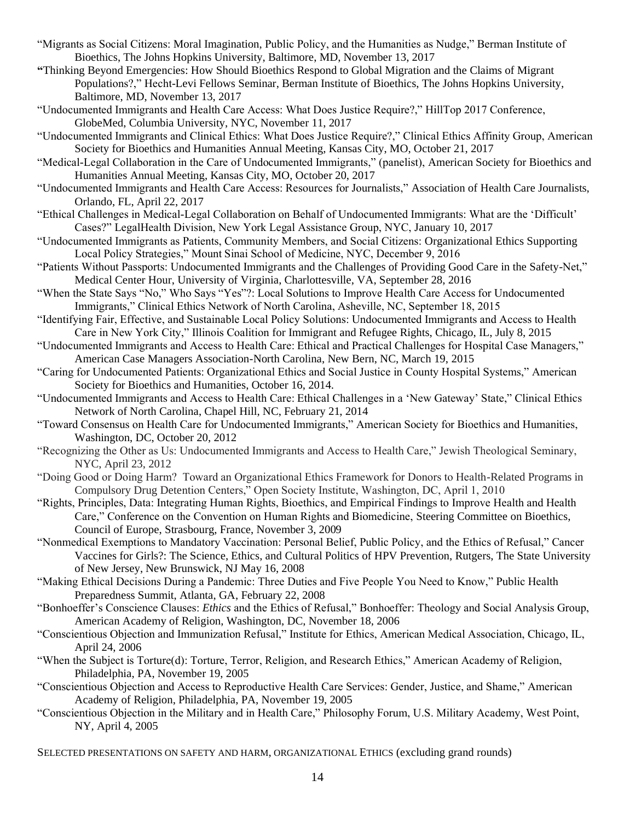- "Migrants as Social Citizens: Moral Imagination, Public Policy, and the Humanities as Nudge," Berman Institute of Bioethics, The Johns Hopkins University, Baltimore, MD, November 13, 2017
- **"**Thinking Beyond Emergencies: How Should Bioethics Respond to Global Migration and the Claims of Migrant Populations?," Hecht-Levi Fellows Seminar, Berman Institute of Bioethics, The Johns Hopkins University, Baltimore, MD, November 13, 2017
- "Undocumented Immigrants and Health Care Access: What Does Justice Require?," HillTop 2017 Conference, GlobeMed, Columbia University, NYC, November 11, 2017
- "Undocumented Immigrants and Clinical Ethics: What Does Justice Require?," Clinical Ethics Affinity Group, American Society for Bioethics and Humanities Annual Meeting, Kansas City, MO, October 21, 2017
- "Medical-Legal Collaboration in the Care of Undocumented Immigrants," (panelist), American Society for Bioethics and Humanities Annual Meeting, Kansas City, MO, October 20, 2017
- "Undocumented Immigrants and Health Care Access: Resources for Journalists," Association of Health Care Journalists, Orlando, FL, April 22, 2017
- "Ethical Challenges in Medical-Legal Collaboration on Behalf of Undocumented Immigrants: What are the 'Difficult' Cases?" LegalHealth Division, New York Legal Assistance Group, NYC, January 10, 2017
- "Undocumented Immigrants as Patients, Community Members, and Social Citizens: Organizational Ethics Supporting Local Policy Strategies," Mount Sinai School of Medicine, NYC, December 9, 2016
- "Patients Without Passports: Undocumented Immigrants and the Challenges of Providing Good Care in the Safety-Net," Medical Center Hour, University of Virginia, Charlottesville, VA, September 28, 2016
- "When the State Says "No," Who Says "Yes"?: Local Solutions to Improve Health Care Access for Undocumented Immigrants," Clinical Ethics Network of North Carolina, Asheville, NC, September 18, 2015
- "Identifying Fair, Effective, and Sustainable Local Policy Solutions: Undocumented Immigrants and Access to Health Care in New York City," Illinois Coalition for Immigrant and Refugee Rights, Chicago, IL, July 8, 2015
- "Undocumented Immigrants and Access to Health Care: Ethical and Practical Challenges for Hospital Case Managers," American Case Managers Association-North Carolina, New Bern, NC, March 19, 2015
- "Caring for Undocumented Patients: Organizational Ethics and Social Justice in County Hospital Systems," American Society for Bioethics and Humanities, October 16, 2014.
- "Undocumented Immigrants and Access to Health Care: Ethical Challenges in a 'New Gateway' State," Clinical Ethics Network of North Carolina, Chapel Hill, NC, February 21, 2014
- "Toward Consensus on Health Care for Undocumented Immigrants," American Society for Bioethics and Humanities, Washington, DC, October 20, 2012
- "Recognizing the Other as Us: Undocumented Immigrants and Access to Health Care," Jewish Theological Seminary, NYC, April 23, 2012
- "Doing Good or Doing Harm? Toward an Organizational Ethics Framework for Donors to Health-Related Programs in Compulsory Drug Detention Centers," Open Society Institute, Washington, DC, April 1, 2010
- "Rights, Principles, Data: Integrating Human Rights, Bioethics, and Empirical Findings to Improve Health and Health Care," Conference on the Convention on Human Rights and Biomedicine, Steering Committee on Bioethics, Council of Europe, Strasbourg, France, November 3, 2009
- "Nonmedical Exemptions to Mandatory Vaccination: Personal Belief, Public Policy, and the Ethics of Refusal," Cancer Vaccines for Girls?: The Science, Ethics, and Cultural Politics of HPV Prevention, Rutgers, The State University of New Jersey, New Brunswick, NJ May 16, 2008
- "Making Ethical Decisions During a Pandemic: Three Duties and Five People You Need to Know," Public Health Preparedness Summit, Atlanta, GA, February 22, 2008
- "Bonhoeffer's Conscience Clauses: *Ethics* and the Ethics of Refusal," Bonhoeffer: Theology and Social Analysis Group, American Academy of Religion, Washington, DC, November 18, 2006
- "Conscientious Objection and Immunization Refusal," Institute for Ethics, American Medical Association, Chicago, IL, April 24, 2006
- "When the Subject is Torture(d): Torture, Terror, Religion, and Research Ethics," American Academy of Religion, Philadelphia, PA, November 19, 2005
- "Conscientious Objection and Access to Reproductive Health Care Services: Gender, Justice, and Shame," American Academy of Religion, Philadelphia, PA, November 19, 2005
- "Conscientious Objection in the Military and in Health Care," Philosophy Forum, U.S. Military Academy, West Point, NY, April 4, 2005

SELECTED PRESENTATIONS ON SAFETY AND HARM, ORGANIZATIONAL ETHICS (excluding grand rounds)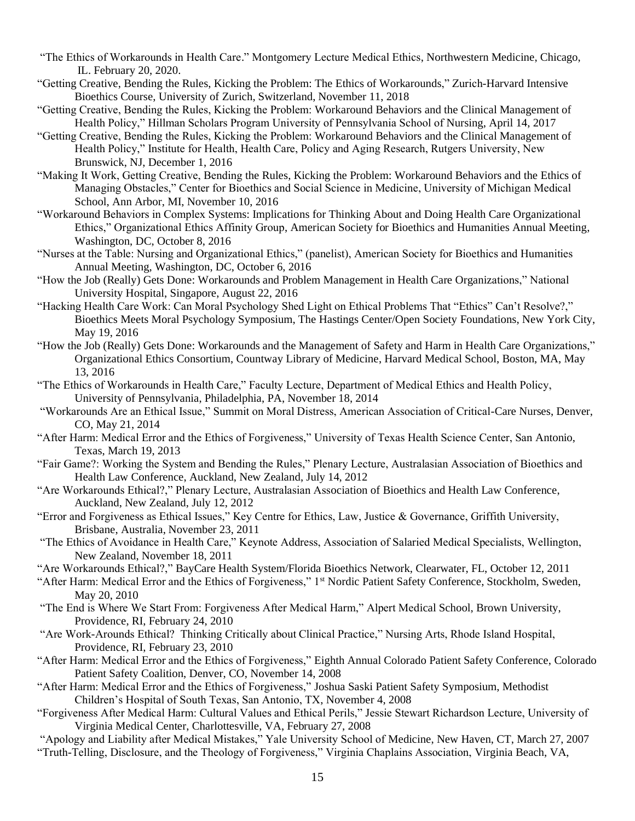- "The Ethics of Workarounds in Health Care." Montgomery Lecture Medical Ethics, Northwestern Medicine, Chicago, IL. February 20, 2020.
- "Getting Creative, Bending the Rules, Kicking the Problem: The Ethics of Workarounds," Zurich-Harvard Intensive Bioethics Course, University of Zurich, Switzerland, November 11, 2018
- "Getting Creative, Bending the Rules, Kicking the Problem: Workaround Behaviors and the Clinical Management of Health Policy," Hillman Scholars Program University of Pennsylvania School of Nursing, April 14, 2017
- "Getting Creative, Bending the Rules, Kicking the Problem: Workaround Behaviors and the Clinical Management of Health Policy," Institute for Health, Health Care, Policy and Aging Research, Rutgers University, New Brunswick, NJ, December 1, 2016
- "Making It Work, Getting Creative, Bending the Rules, Kicking the Problem: Workaround Behaviors and the Ethics of Managing Obstacles," Center for Bioethics and Social Science in Medicine, University of Michigan Medical School, Ann Arbor, MI, November 10, 2016
- "Workaround Behaviors in Complex Systems: Implications for Thinking About and Doing Health Care Organizational Ethics," Organizational Ethics Affinity Group, American Society for Bioethics and Humanities Annual Meeting, Washington, DC, October 8, 2016
- "Nurses at the Table: Nursing and Organizational Ethics," (panelist), American Society for Bioethics and Humanities Annual Meeting, Washington, DC, October 6, 2016
- "How the Job (Really) Gets Done: Workarounds and Problem Management in Health Care Organizations," National University Hospital, Singapore, August 22, 2016
- "Hacking Health Care Work: Can Moral Psychology Shed Light on Ethical Problems That "Ethics" Can't Resolve?," Bioethics Meets Moral Psychology Symposium, The Hastings Center/Open Society Foundations, New York City, May 19, 2016
- "How the Job (Really) Gets Done: Workarounds and the Management of Safety and Harm in Health Care Organizations," Organizational Ethics Consortium, Countway Library of Medicine, Harvard Medical School, Boston, MA, May 13, 2016
- "The Ethics of Workarounds in Health Care," Faculty Lecture, Department of Medical Ethics and Health Policy, University of Pennsylvania, Philadelphia, PA, November 18, 2014
- "Workarounds Are an Ethical Issue," Summit on Moral Distress, American Association of Critical-Care Nurses, Denver, CO, May 21, 2014
- "After Harm: Medical Error and the Ethics of Forgiveness," University of Texas Health Science Center, San Antonio, Texas, March 19, 2013
- "Fair Game?: Working the System and Bending the Rules," Plenary Lecture, Australasian Association of Bioethics and Health Law Conference, Auckland, New Zealand, July 14, 2012
- "Are Workarounds Ethical?," Plenary Lecture, Australasian Association of Bioethics and Health Law Conference, Auckland, New Zealand, July 12, 2012
- "Error and Forgiveness as Ethical Issues," Key Centre for Ethics, Law, Justice & Governance, Griffith University, Brisbane, Australia, November 23, 2011
- "The Ethics of Avoidance in Health Care," Keynote Address, Association of Salaried Medical Specialists, Wellington, New Zealand, November 18, 2011
- "Are Workarounds Ethical?," BayCare Health System/Florida Bioethics Network, Clearwater, FL, October 12, 2011
- "After Harm: Medical Error and the Ethics of Forgiveness," 1<sup>st</sup> Nordic Patient Safety Conference, Stockholm, Sweden, May 20, 2010
- "The End is Where We Start From: Forgiveness After Medical Harm," Alpert Medical School, Brown University, Providence, RI, February 24, 2010
- "Are Work-Arounds Ethical? Thinking Critically about Clinical Practice," Nursing Arts, Rhode Island Hospital, Providence, RI, February 23, 2010
- "After Harm: Medical Error and the Ethics of Forgiveness," Eighth Annual Colorado Patient Safety Conference, Colorado Patient Safety Coalition, Denver, CO, November 14, 2008
- "After Harm: Medical Error and the Ethics of Forgiveness," Joshua Saski Patient Safety Symposium, Methodist Children's Hospital of South Texas, San Antonio, TX, November 4, 2008
- "Forgiveness After Medical Harm: Cultural Values and Ethical Perils," Jessie Stewart Richardson Lecture, University of Virginia Medical Center, Charlottesville, VA, February 27, 2008
- "Apology and Liability after Medical Mistakes," Yale University School of Medicine, New Haven, CT, March 27, 2007 "Truth-Telling, Disclosure, and the Theology of Forgiveness," Virginia Chaplains Association, Virginia Beach, VA,